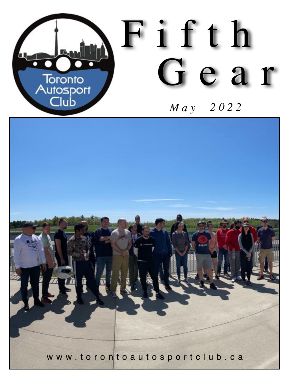

# Fifth Gear

# *2022 May*

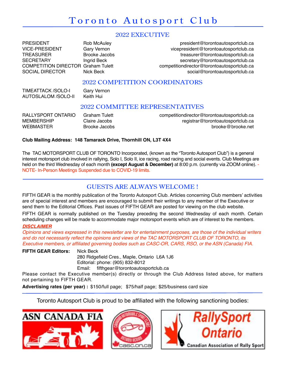## Toronto Autosport Club

## 2022 EXECUTIVE

PRESIDENT Rob McAuley **Rob McAuley president@torontoautosportclub.ca** VICE-PRESIDENT Gary Vernon vicepresident@torontoautosportclub.ca TREASURER Brooke Jacobs treasurer@torontoautosportclub.ca SECRETARY **Ingrid Beck** secretary@torontoautosportclub.ca COMPETITION DIRECTOR Graham Tulett competitiondirector@torontoautosportclub.ca<br>SOCIAL DIRECTOR Nick Beck social@torontoautosportclub.ca SOCIAL DIRECTOR Nick Beck social@torontoautosportclub.ca

## 2022 COMPETITION COORDINATORS

TIMEATTACK /SOLO-I Gary Vernon<br>AUTOSLALOM /SOLO-II Keith Hui AUTOSLALOM /SOLO-II

## 2022 COMMITTEE REPRESENTATIVES

| RALLYSPORT ONTARIO | Graham Tulett | competitiondirector@torontoautosportclub.ca |
|--------------------|---------------|---------------------------------------------|
| <b>MEMBERSHIP</b>  | Claire Jacobs | registrar@torontoautosportclub.ca           |
| <b>WEBMASTER</b>   | Brooke Jacobs | brooke@brooke.net                           |

## **Club Mailing Address: 148 Tamarack Drive, Thornhill ON, L3T 4X4**

The TAC MOTORSPORT CLUB OF TORONTO Incorporated, (known as the "Toronto Autosport Club") is a general interest motorsport club involved in rallying, Solo I, Solo II, ice racing, road racing and social events. Club Meetings are held on the third Wednesday of each month **(except August & December)** at 8:00 p.m. (currently via ZOOM online). - NOTE- In-Person Meetings Suspended due to COVID-19 limits.

## GUESTS ARE ALWAYS WELCOME !

FIFTH GEAR is the monthly publication of the Toronto Autosport Club. Articles concerning Club members' activities are of special interest and members are encouraged to submit their writings to any member of the Executive or send them to the Editorial Offices. Past issues of FIFTH GEAR are posted for viewing on the club website.

FIFTH GEAR is normally published on the Tuesday preceding the second Wednesday of each month. Certain scheduling changes will be made to accommodate major motorsport events which are of interest to the members.

#### *DISCLAIMER*

*Opinions and views expressed in this newsletter are for entertainment purposes, are those of the individual writers and do not necessarily reflect the opinions and views of the TAC MOTORSPORT CLUB OF TORONTO, its Executive members, or affiliated governing bodies such as CASC-OR, CARS, RSO, or the ASN (Canada) FIA.*

**FIFTH GEAR Editors:** Nick Beck 280 Ridgefield Cres., Maple, Ontario L6A 1J6 Editorial: phone: (905) 832-8012 Email: fifthgear.@torontoautosportclub.ca

Please contact the Executive member(s) directly or through the Club Address listed above, for matters not pertaining to FIFTH GEAR.

**Advertising rates (per year) :** \$150/full page; \$75/half page; \$25/business card size

Toronto Autosport Club is proud to be affiliated with the following sanctioning bodies:





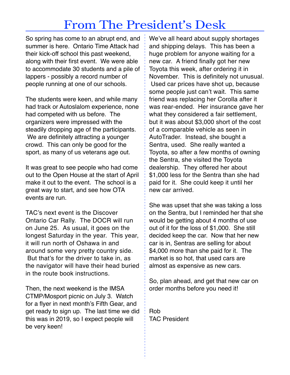# From The President's Desk

So spring has come to an abrupt end, and summer is here. Ontario Time Attack had their kick-off school this past weekend, along with their first event. We were able to accommodate 30 students and a pile of lappers - possibly a record number of people running at one of our schools.

The students were keen, and while many had track or Autoslalom experience, none had competed with us before. The organizers were impressed with the steadily dropping age of the participants. We are definitely attracting a younger crowd. This can only be good for the sport, as many of us veterans age out.

It was great to see people who had come out to the Open House at the start of April make it out to the event. The school is a great way to start, and see how OTA events are run.

TAC's next event is the Discover Ontario Car Rally. The DOCR will run on June 25. As usual, it goes on the longest Saturday in the year. This year, it will run north of Oshawa in and around some very pretty country side. But that's for the driver to take in, as the navigator will have their head buried in the route book instructions.

Then, the next weekend is the IMSA CTMP/Mosport picnic on July 3. Watch for a flyer in next month's Fifth Gear, and get ready to sign up. The last time we did this was in 2019, so I expect people will be very keen!

We've all heard about supply shortages and shipping delays. This has been a huge problem for anyone waiting for a new car. A friend finally got her new Toyota this week, after ordering it in November. This is definitely not unusual. Used car prices have shot up, because some people just can't wait. This same friend was replacing her Corolla after it was rear-ended. Her insurance gave her what they considered a fair settlement, but it was about \$3,000 short of the cost of a comparable vehicle as seen in AutoTrader. Instead, she bought a Sentra, used. She really wanted a Toyota, so after a few months of owning the Sentra, she visited the Toyota dealership. They offered her about \$1,000 less for the Sentra than she had paid for it. She could keep it until her new car arrived.

She was upset that she was taking a loss on the Sentra, but I reminded her that she would be getting about 4 months of use out of it for the loss of \$1,000. She still decided keep the car. Now that her new car is in, Sentras are selling for about \$4,000 more than she paid for it. The market is so hot, that used cars are almost as expensive as new cars.

So, plan ahead, and get that new car on order months before you need it!

Rob TAC President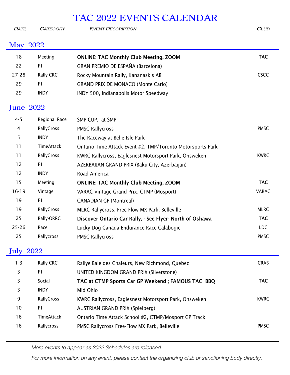## TAC 2022 EVENTS CALENDAR

*Date Category Event Description Club*

## May 2022

| 18               | Meeting           | <b>ONLINE: TAC Monthly Club Meeting, ZOOM</b>              | <b>TAC</b>   |
|------------------|-------------------|------------------------------------------------------------|--------------|
| 22               | F1                | GRAN PREMIO DE ESPAÑA (Barcelona)                          |              |
| 27-28            | Rally-CRC         | Rocky Mountain Rally, Kananaskis AB                        | <b>CSCC</b>  |
| 29               | F1                | <b>GRAND PRIX DE MONACO (Monte Carlo)</b>                  |              |
| 29               | <b>INDY</b>       | INDY 500, Indianapolis Motor Speedway                      |              |
| <b>June 2022</b> |                   |                                                            |              |
| $4 - 5$          | Regional Race     | SMP CUP; at SMP                                            |              |
| 4                | RallyCross        | <b>PMSC Rallycross</b>                                     | <b>PMSC</b>  |
| 5                | <b>INDY</b>       | The Raceway at Belle Isle Park                             |              |
| 11               | TimeAttack        | Ontario Time Attack Event #2, TMP/Toronto Motorsports Park |              |
| 11               | RallyCross        | KWRC Rallycross, Eaglesnest Motorsport Park, Ohsweken      | <b>KWRC</b>  |
| 12               | F1                | AZERBAIJAN GRAND PRIX (Baku City, Azerbaijan)              |              |
| 12               | <b>INDY</b>       | Road America                                               |              |
| 15               | Meeting           | <b>ONLINE: TAC Monthly Club Meeting, ZOOM</b>              | <b>TAC</b>   |
| $16 - 19$        | Vintage           | VARAC Vintage Grand Prix, CTMP (Mosport)                   | <b>VARAC</b> |
| 19               | F1                | <b>CANADIAN GP (Montreal)</b>                              |              |
| 19               | RallyCross        | MLRC Rallycross, Free-Flow MX Park, Belleville             | <b>MLRC</b>  |
| 25               | Rally-ORRC        | Discover Ontario Car Rally, - See Flyer- North of Oshawa   | <b>TAC</b>   |
| $25 - 26$        | Race              | Lucky Dog Canada Endurance Race Calabogie                  | <b>LDC</b>   |
| 25               | Rallycross        | <b>PMSC Rallycross</b>                                     | <b>PMSC</b>  |
| <b>July 2022</b> |                   |                                                            |              |
| $1 - 3$          | Rally-CRC         | Rallye Baie des Chaleurs, New Richmond, Quebec             | <b>CRAB</b>  |
| 3                | F1                | UNITED KINGDOM GRAND PRIX (Silverstone)                    |              |
| 3                | Social            | TAC at CTMP Sports Car GP Weekend; FAMOUS TAC BBQ          | <b>TAC</b>   |
| 3                | <b>INDY</b>       | Mid Ohio                                                   |              |
| 9                | RallyCross        | KWRC Rallycross, Eaglesnest Motorsport Park, Ohsweken      | <b>KWRC</b>  |
| 10               | F1                | <b>AUSTRIAN GRAND PRIX (Spielberg)</b>                     |              |
| 16               | <b>TimeAttack</b> | Ontario Time Attack School #2, CTMP/Mosport GP Track       |              |
| 16               | Rallycross        | PMSC Rallycross Free-Flow MX Park, Belleville              | PMSC         |
|                  |                   |                                                            |              |

*More events to appear as 2022 Schedules are released.*

*For more information on any event, please contact the organizing club or sanctioning body directly.*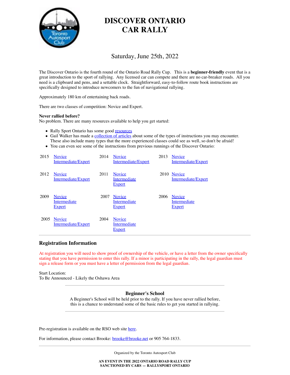

## **DISCOVER ONTARIO CAR RALLY**

## Saturday, June 25th, 2022

The Discover Ontario is the fourth round of the Ontario Road Rally Cup. This is a **beginner-friendly** event that is a great introduction to the sport of rallying. Any licensed car can compete and there are no car-breaker roads. All you need is a clipboard and pens, and a settable clock. Straightforward, easy-to-follow route book instructions are specifically designed to introduce newcomers to the fun of navigational rallying.

Approximately 180 km of entertaining back roads.

There are two classes of competition: Novice and Expert.

#### **Never rallied before?**

No problem. There are many resources available to help you get started:

- Rally Sport Ontario has some good resources
- Gail Walker has made a collection of articles about some of the types of instructions you may encounter. These also include many types that the more experienced classes could see as well, so don't be afraid!
- You can even see some of the instructions from previous runnings of the Discover Ontario:

| 2015 | <b>Novice</b><br>Intermediate/Expert           | 2014 | <b>Novice</b><br>Intermediate/Expert           | 2013 | <b>Novice</b><br>Intermediate/Expert           |
|------|------------------------------------------------|------|------------------------------------------------|------|------------------------------------------------|
| 2012 | <b>Novice</b><br>Intermediate/Expert           | 2011 | <b>Novice</b><br>Intermediate<br><b>Expert</b> |      | 2010 Novice<br>Intermediate/Expert             |
| 2009 | <b>Novice</b><br>Intermediate<br><b>Expert</b> | 2007 | <b>Novice</b><br>Intermediate<br><b>Expert</b> | 2006 | <b>Novice</b><br>Intermediate<br><b>Expert</b> |
| 2005 | <b>Novice</b><br>Intermediate/Expert           | 2004 | <b>Novice</b><br>Intermediate<br><b>Expert</b> |      |                                                |

#### **Registration Information**

At registration you will need to show proof of ownership of the vehicle, or have a letter from the owner specifically stating that you have permission to enter this rally. If a minor is participating in the rally, the legal guardian must sign a release form or you must have a letter of permission from the legal guardian.

Start Location: To Be Announced - Likely the Oshawa Area

#### **Beginner's School**

A Beginner's School will be held prior to the rally. If you have never rallied before, this is a chance to understand some of the basic rules to get you started in rallying.

Pre-registration is available on the RSO web site here.

For information, please contact Brooke: **brooke@brooke.net** or 905 764-1833.

Organized by the Toronto Autosport Club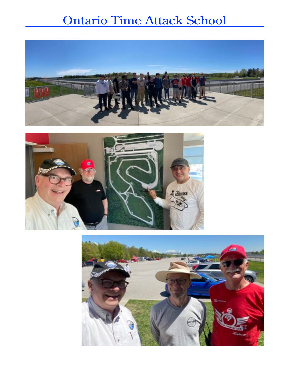# Ontario Time Attack School





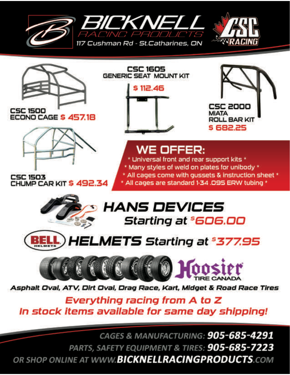





**CSC 1500** ECONO CAGE \$457.18



CSC 1503<br>CHUMP CAR KIT \$ 492.34





# **WE OFFER:**

\* Universal front and rear support kits \* \* Many styles of weld on plates for unibody \*  $*$  All cages come with gussets  $\&$  instruction sheet  $*$ \* All cages are standard 1-34 .095 ERW tubing \*







Asphalt Oval, ATV, Dirt Oval, Drag Race, Kart, Midget & Road Race Tires

Everything racing from A to Z In stock items available for same day shipping!

CAGES & MANUFACTURING: 905-685-4291 PARTS, SAFETY EQUIPMENT & TIRES: 905-685-7223 OR SHOP ONLINE AT WWW.BICKNELLRACINGPRODUCTS.COM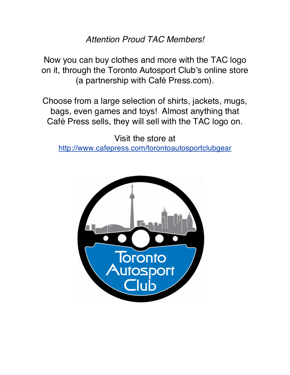*Attention Proud TAC Members!*

Now you can buy clothes and more with the TAC logo on it, through the Toronto Autosport Club's online store (a partnership with Café Press.com).

Choose from a large selection of shirts, jackets, mugs, bags, even games and toys! Almost anything that Café Press sells, they will sell with the TAC logo on.

Visit the store at http://www.cafepress.com/torontoautosportclubgear

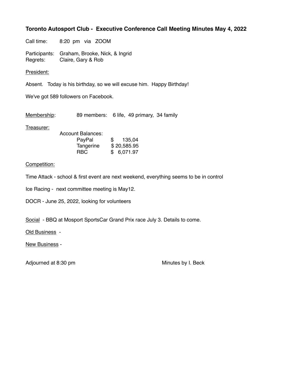## **Toronto Autosport Club - Executive Conference Call Meeting Minutes May 4, 2022**

Call time: 8:20 pm via ZOOM

Participants: Graham, Brooke, Nick, & Ingrid Regrets: Claire, Gary & Rob

President:

Absent. Today is his birthday, so we will excuse him. Happy Birthday!

We've got 589 followers on Facebook.

Membership: 89 members: 6 life, 49 primary, 34 family

Treasurer:

| Account Balances: |     |             |
|-------------------|-----|-------------|
| PayPal            | \$. | 135,04      |
| Tangerine         |     | \$20,585.95 |
| RBC               |     | \$6,071.97  |

## Competition:

Time Attack - school & first event are next weekend, everything seems to be in control

Ice Racing - next committee meeting is May12.

DOCR - June 25, 2022, looking for volunteers

Social - BBQ at Mosport SportsCar Grand Prix race July 3. Details to come.

Old Business -

New Business -

Adjourned at 8:30 pm Minutes by I. Beck